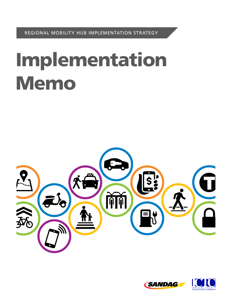REGIONAL MOBILITY HUB IMPLEMENTATION STRATEGY

# Implementation Memo



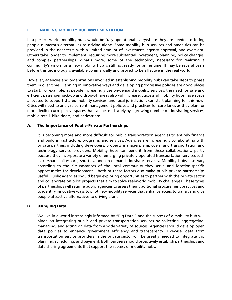#### **I. ENABLING MOBILITY HUB IMPLEMENTATION**

In a perfect world, mobility hubs would be fully operational everywhere they are needed, offering people numerous alternatives to driving alone. Some mobility hub services and amenities can be provided in the near-term with a limited amount of investment, agency approval, and oversight. Others take longer to implement, requiring more substantial investment, planning, policy changes, and complex partnerships. What's more, some of the technology necessary for realizing a community's vision for a new mobility hub is still not ready for prime time. It may be several years before this technology is available commercially and proved to be effective in the real world.

However, agencies and organizations involved in establishing mobility hubs can take steps to phase them in over time. Planning in innovative ways and developing progressive policies are good places to start. For example, as people increasingly use on-demand mobility services, the need for safe and efficient passenger pick-up and drop-off areas also will increase. Successful mobility hubs have space allocated to support shared mobility services, and local jurisdictions can start planning for this now. Cities will need to analyze current management policies and practices for curb lanes as they plan for more flexible curb spaces – spaces that can be used safely by a growing number of ridesharing services, mobile retail, bike riders, and pedestrians.

## **A. The Importance of Public–Private Partnerships**

It is becoming more and more difficult for public transportation agencies to entirely finance and build infrastructure, programs, and services. Agencies are increasingly collaborating with private partners including developers, property managers, employers, and transportation and technology service providers. Mobility hubs can benefit from these collaborations, partly because they incorporate a variety of emerging privately-operated transportation services such as carshare, bikeshare, shuttles, and on-demand rideshare services. Mobility hubs also vary according to the circumstances of the local community they serve and location-specific opportunities for development – both of these factors also make public-private partnerships useful. Public agencies should begin exploring opportunities to partner with the private sector and collaborate on pilot projects that aim to solve real-world mobility challenges. These types of partnerships will require public agencies to assess their traditional procurement practices and to identify innovative ways to pilot new mobility services that enhance access to transit and give people attractive alternatives to driving alone.

## **B. Using Big Data**

We live in a world increasingly informed by "Big Data," and the success of a mobility hub will hinge on integrating public and private transportation services by collecting, aggregating, managing, and acting on data from a wide variety of sources. Agencies should develop open data policies to enhance government efficiency and transparency. Likewise, data from transportation service providers in the private sector will be greatly needed to integrate trip planning, scheduling, and payment. Both partners should proactively establish partnerships and data-sharing agreements that support the success of mobility hubs.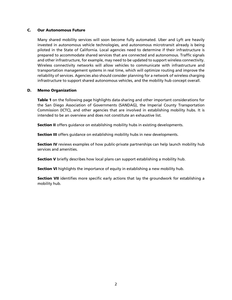### **C. Our Autonomous Future**

Many shared mobility services will soon become fully automated. Uber and Lyft are heavily invested in autonomous vehicle technologies, and autonomous microtransit already is being piloted in the State of California. Local agencies need to determine if their infrastructure is prepared to accommodate shared services that are connected and autonomous. Traffic signals and other infrastructure, for example, may need to be updated to support wireless connectivity. Wireless connectivity networks will allow vehicles to communicate with infrastructure and transportation management systems in real time, which will optimize routing and improve the reliability of services. Agencies also should consider planning for a network of wireless charging infrastructure to support shared autonomous vehicles, and the mobility hub concept overall.

#### **D. Memo Organization**

**Table 1** on the following page highlights data-sharing and other important considerations for the San Diego Association of Governments (SANDAG), the Imperial County Transportation Commission (ICTC), and other agencies that are involved in establishing mobility hubs. It is intended to be an overview and does not constitute an exhaustive list.

**Section II** offers guidance on establishing mobility hubs in existing developments.

**Section III** offers guidance on establishing mobility hubs in new developments.

**Section IV** reviews examples of how public-private partnerships can help launch mobility hub services and amenities.

**Section V** briefly describes how local plans can support establishing a mobility hub.

**Section VI** highlights the importance of equity in establishing a new mobility hub.

**Section VII** identifies more specific early actions that lay the groundwork for establishing a mobility hub.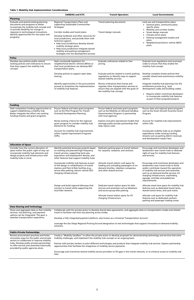|                                                                                                                                                                                                                                                                 | <b>SANDAG and ICTC</b>                                                                                                                                                                                                                                                                                                                                                | <b>Transit Operators</b>                                                                                                                                  | <b>Local Governments</b>                                                                                                                                                                                                                                                                                    |
|-----------------------------------------------------------------------------------------------------------------------------------------------------------------------------------------------------------------------------------------------------------------|-----------------------------------------------------------------------------------------------------------------------------------------------------------------------------------------------------------------------------------------------------------------------------------------------------------------------------------------------------------------------|-----------------------------------------------------------------------------------------------------------------------------------------------------------|-------------------------------------------------------------------------------------------------------------------------------------------------------------------------------------------------------------------------------------------------------------------------------------------------------------|
| <b>Planning</b>                                                                                                                                                                                                                                                 |                                                                                                                                                                                                                                                                                                                                                                       |                                                                                                                                                           |                                                                                                                                                                                                                                                                                                             |
| Evaluate and amend existing planning<br>documents and programs to better<br>incorporate the mobility hub concept and<br>to provide flexibility for change in<br>response to technological innovations.<br>Identify opportunities for new plans and<br>programs. | Regional Transportation Plans and<br>supporting Sustainable Communities<br>Strategies<br>Corridor studies and transit plans<br>Develop toolboxes and other resources for<br>local jurisdictions, and provide them with<br>technical support:<br>• Help local jurisdictions develop shared<br>mobility strategic plans.<br>• Help local jurisdictions integrate shared | Transit planning documents<br>Transit design manuals                                                                                                      | Land use and transportation plans:<br>General plans, community plans,<br>$\bullet$<br>specific plans<br>Mobility and corridor studies<br>Street design manuals<br>Climate action plans<br>Parking management studies and<br>plans<br>Neighborhood electric vehicle (NEV)<br>plans                           |
|                                                                                                                                                                                                                                                                 | mobility and parking management<br>strategies into the development process.                                                                                                                                                                                                                                                                                           |                                                                                                                                                           |                                                                                                                                                                                                                                                                                                             |
| <b>Policy</b>                                                                                                                                                                                                                                                   |                                                                                                                                                                                                                                                                                                                                                                       |                                                                                                                                                           |                                                                                                                                                                                                                                                                                                             |
| Develop new policies and/or amend<br>existing policies and ordinances to ensure<br>that they support the mobility hub<br>concept.                                                                                                                               | Seek countywide legislation for<br>neighborhood electric vehicles (NEVs) so<br>that local jurisdictions can develop NEV<br>transportation plans.                                                                                                                                                                                                                      | Evaluate ordinances related to fare<br>pricing.                                                                                                           | Evaluate local regulations and municipal<br>codes to ensure that they enable the<br>mobility hub concept.                                                                                                                                                                                                   |
|                                                                                                                                                                                                                                                                 | Develop policies to support open data<br>sharing.                                                                                                                                                                                                                                                                                                                     | Evaluate policies related to transit parking<br>regulations to identify ways to support<br>shared mobility services.                                      | Develop complete streets policies that<br>consider shared and autonomous mobility<br>options.                                                                                                                                                                                                               |
|                                                                                                                                                                                                                                                                 | Identify opportunities in the procurement<br>process to streamline the implementation<br>of mobility hub features.                                                                                                                                                                                                                                                    | Review ordinances that license and<br>regulate other transportation services to<br>ensure they are aligned with the goals of<br>the mobility hub concept. | Integrate mobility hub planning into the<br>entitlement process (e.g., land<br>development codes and building codes).<br>Require and/or incentivize developers<br>to incorporate mobility hub features<br>as part of their proposed projects.                                                               |
| <b>Funding</b>                                                                                                                                                                                                                                                  |                                                                                                                                                                                                                                                                                                                                                                       |                                                                                                                                                           |                                                                                                                                                                                                                                                                                                             |
| Seek competitive funding opportunities to<br>support establishing a mobility hub.<br>Better integrate the effort into existing<br>funding streams and grant programs.                                                                                           | Pursue federal and state grant programs<br>such as the Pilot Program for Transit-<br>Oriented Development Planning.                                                                                                                                                                                                                                                   | Pursue federal and state grant programs<br>such as the Mobility on Demand Sandbox<br>Demonstration Program in partnership<br>with local agencies.         | Pursue state and regional grant programs<br>such as the Smart Growth Incentive Grant<br>Program.                                                                                                                                                                                                            |
|                                                                                                                                                                                                                                                                 | Revise existing criteria for the regional<br>grant program to consider mobility hub<br>elements for funding.                                                                                                                                                                                                                                                          | Explore and pilot operational models that<br>leverage public-private partnerships that<br>help reduce costs.                                              | Account for mobility hub improvements<br>within CIPs.                                                                                                                                                                                                                                                       |
|                                                                                                                                                                                                                                                                 | Account for mobility hub improvements<br>within Capital Improvement Programs<br>(CIPs).                                                                                                                                                                                                                                                                               |                                                                                                                                                           | Incorporate mobility hubs as an eligible<br>expenditure under existing funding<br>streams such as parking district revenues<br>and development impact fees.                                                                                                                                                 |
| <b>Allocation of Space</b>                                                                                                                                                                                                                                      |                                                                                                                                                                                                                                                                                                                                                                       |                                                                                                                                                           |                                                                                                                                                                                                                                                                                                             |
| Consider how the current allocation of<br>space within the public right-of-way can<br>incorporate mobility hub elements and<br>design projects and infrastructure with<br>mobility hubs in mind.                                                                | Identify potential showcase projects based<br>on existing and planned high-frequency<br>transit services, supporting land uses,<br>population and employment density, and<br>other features that support mobility hubs.                                                                                                                                               | Dedicate parking space at transit stations<br>for carpools, vanpools, and carshare.                                                                       | Encourage and incentivize developers and<br>landowners near transit hubs to dedicate<br>right-of-way for mobility hub features<br>and services.                                                                                                                                                             |
|                                                                                                                                                                                                                                                                 | Incorporate mobility hub features as part<br>of the design or rehabilitation of transit<br>stations and Park & Ride facilities (e.g.,<br>secure bike parking, electric vehicle (EV)<br>charging infrastructure).                                                                                                                                                      | Allocate transit station curb space for<br>loading and unloading passengers of on-<br>demand shuttles, rideshare companies,<br>and other shared services. | Encourage and incentivize developers and<br>landowners near transit hubs to build<br>and/or contribute toward the operation<br>of mobility hub services and amenities<br>such as on-demand shuttle services, EV<br>charging infrastructure, wayfinding<br>signage, and bike and pedestrian<br>improvements. |
|                                                                                                                                                                                                                                                                 | Design and build regional bikeways that<br>connect to transit while supporting the<br>local bike network.                                                                                                                                                                                                                                                             | Dedicate transit station space for bike<br>services and amenities such as bikeshare<br>and secure group bike parking.                                     | Allocate street lane space for mobility hub<br>features such as dedicated transit lanes,<br>shared transit lanes, and cycle tracks.                                                                                                                                                                         |
|                                                                                                                                                                                                                                                                 |                                                                                                                                                                                                                                                                                                                                                                       | Allocate transit station space for EV<br>charging infrastructure.                                                                                         | Allocate curb space for mobility hub<br>features such as dedicated carshare<br>parking and passenger loading zones.                                                                                                                                                                                         |

# **Data Sharing and Technology**

Share and aggregate data so that mobility services, trip planning, and payment options can be integrated. The goal: a seamless transportation experience.

Collaborate with the private sector to develop shared data agreements, and aggregate data on transportation modes and related travel to facilitate real-time trip planning across modes.

Develop a fully integrated payment platform, also known as a Universal Transportation Account.

Leverage the San Diego Regional Proving Ground designation to test technologies that support innovative on-demand mobility solutions.

| <b>Public-Private Partnerships</b>                                                                                                  |                                                                                                                                                                                                                       |
|-------------------------------------------------------------------------------------------------------------------------------------|-----------------------------------------------------------------------------------------------------------------------------------------------------------------------------------------------------------------------|
| Review procurement practices and foster<br>innovative ways for the public and private<br>sectors to collaborate to improve mobility | Create a "Mobility Sandbox" to allow the private sector to develop proposals for demonstrating technology and services that solve<br>mobility challenges, and implement the mobility hub concept on an ongoing basis. |
| hubs. Develop public-private partnerships<br>to offer services and amenities historically<br>provided by public agencies alone.     | Partner with private vendors to pilot different technologies and products that integrate mobility hub services. Explore partnership<br>opportunities that facilitate the integration of mobility service payments.    |
|                                                                                                                                     | Encourage and incentivize shared mobility service providers to fill gaps in the transit network, or to enhance access to mobility hub<br>sites.                                                                       |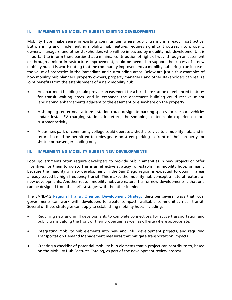#### **II. IMPLEMENTING MOBILITY HUBS IN EXISTING DEVELOPMENTS**

Mobility hubs make sense in existing communities where public transit is already most active. But planning and implementing mobility hub features requires significant outreach to property owners, managers, and other stakeholders who will be impacted by mobility hub development. It is important to inform these parties that a minimal contribution of right-of-way, through an easement or through a minor infrastructure improvement, could be needed to support the success of a new mobility hub. It is worth noting that the community improvements a mobility hub brings can increase the value of properties in the immediate and surrounding areas. Below are just a few examples of how mobility hub planners, property owners, property managers, and other stakeholders can realize joint benefits from the establishment of a new mobility hub:

- An apartment building could provide an easement for a bikeshare station or enhanced features for transit waiting areas, and in exchange the apartment building could receive minor landscaping enhancements adjacent to the easement or elsewhere on the property.
- A shopping center near a transit station could designate parking spaces for carshare vehicles and/or install EV charging stations. In return, the shopping center could experience more customer activity.
- A business park or community college could operate a shuttle service to a mobility hub, and in return it could be permitted to redesignate on-street parking in front of their property for shuttle or passenger loading only.

#### **III. IMPLEMENTING MOBILITY HUBS IN NEW DEVELOPMENTS**

Local governments often require developers to provide public amenities in new projects or offer incentives for them to do so. This is an effective strategy for establishing mobility hubs, primarily because the majority of new development in the San Diego region is expected to occur in areas already served by high-frequency transit. This makes the mobility hub concept a natural feature of new developments. Another reason mobility hubs are natural fits for new developments is that one can be designed from the earliest stages with the other in mind.

The SANDAG Regional Transit Oriented Development Strategy describes several ways that local governments can work with developers to create compact, walkable communities near transit. Several of these strategies can apply to establishing mobility hubs, including:

- Requiring new and infill developments to complete connections for active transportation and public transit along the front of their properties, as well as off-site where appropriate.
- Integrating mobility hub elements into new and infill development projects, and requiring Transportation Demand Management measures that mitigate transportation impacts.
- Creating a checklist of potential mobility hub elements that a project can contribute to, based on the Mobility Hub Features Catalog, as part of the development review process.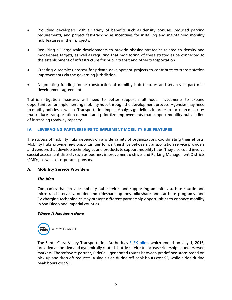- Providing developers with a variety of benefits such as density bonuses, reduced parking requirements, and project fast-tracking as incentives for installing and maintaining mobility hub features in their projects.
- Requiring all large-scale developments to provide phasing strategies related to density and mode-share targets, as well as requiring that monitoring of these strategies be connected to the establishment of infrastructure for public transit and other transportation.
- Creating a seamless process for private development projects to contribute to transit station improvements via the governing jurisdiction.
- Negotiating funding for or construction of mobility hub features and services as part of a development agreement.

Traffic mitigation measures will need to better support multimodal investments to expand opportunities for implementing mobility hubs through the development process. Agencies may need to modify policies as well as Transportation Impact Analysis guidelines in order to focus on measures that reduce transportation demand and prioritize improvements that support mobility hubs in lieu of increasing roadway capacity.

# **IV. LEVERAGING PARTNERSHIPS TO IMPLEMENT MOBILITY HUB FEATURES**

The success of mobility hubs depends on a wide variety of organizations coordinating their efforts. Mobility hubs provide new opportunities for partnerships between transportation service providers and vendors that develop technologies and products to support mobility hubs. They also could involve special assessment districts such as business improvement districts and Parking Management Districts (PMDs) as well as corporate sponsors.

## **A. Mobility Service Providers**

## *The Idea*

Companies that provide mobility hub services and supporting amenities such as shuttle and microtransit services, on-demand rideshare options, bikeshare and carshare programs, and EV charging technologies may present different partnership opportunities to enhance mobility in San Diego and Imperial counties.

## *Where it has been done*



The Santa Clara Valley Transportation Authority's FLEX pilot, which ended on July 1, 2016, provided an on-demand dynamically routed shuttle service to increase ridership in underserved markets. The software partner, RideCell, generated routes between predefined stops based on pick-up and drop-off requests. A single ride during off-peak hours cost \$2, while a ride during peak hours cost \$3.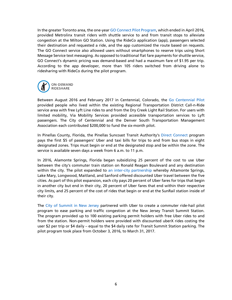In the greater Toronto area, the one-year GO Connect Pilot Program, which ended in April 2016, provided Metrolinx transit riders with shuttle service to and from transit stops to alleviate congestion at the Milton GO Station. Using the RideCo application (app), passengers selected their destination and requested a ride, and the app customized the route based on requests. The GO Connect service also allowed users without smartphones to reserve trips using Short Message Service text messaging. As opposed to traditional flat fare payments for shuttle service, GO Connect's dynamic pricing was demand-based and had a maximum fare of \$1.95 per trip. According to the app developer, more than 105 riders switched from driving alone to ridesharing with RideCo during the pilot program.



Between August 2016 and February 2017 in Centennial, Colorado, the Go Centennial Pilot provided people who lived within the existing Regional Transportation District Call-n-Ride service area with free Lyft Line rides to and from the Dry Creek Light Rail Station. For users with limited mobility, Via Mobility Services provided accessible transportation services to Lyft passengers. The City of Centennial and the Denver South Transportation Management Association each contributed \$200,000 to fund the six-month pilot.

In Pinellas County, Florida, the Pinellas Suncoast Transit Authority's Direct Connect program pays the first \$5 of passengers' Uber and taxi bills for trips to and from bus stops in eight designated zones. Trips must begin or end at the designated stop and be within the zone. The service is available seven days a week from 6 a.m. to 11 p.m.

In 2016, Alamonte Springs, Florida began subsidizing 25 percent of the cost to use Uber between the city's commuter train station on Ronald Reagan Boulevard and any destination within the city. The pilot expanded to an inter-city partnership whereby Altamonte Springs, Lake Mary, Longwood, Maitland, and Sanford offered discounted Uber travel between the five cities. As part of this pilot expansion, each city pays 20 percent of Uber fares for trips that begin in another city but end in their city, 20 percent of Uber fares that end within their respective city limits, and 25 percent of the cost of rides that begin or end at the SunRail station inside of their city.

The City of Summit in New Jersey partnered with Uber to create a commuter ride-hail pilot program to ease parking and traffic congestion at the New Jersey Transit Summit Station. The program provided up to 100 existing parking permit holders with free Uber rides to and from the station. Non-permit holders were provided with discounted uberX rides costing the user \$2 per trip or \$4 daily – equal to the \$4 daily rate for Transit Summit Station parking. The pilot program took place from October 3, 2016, to March 31, 2017.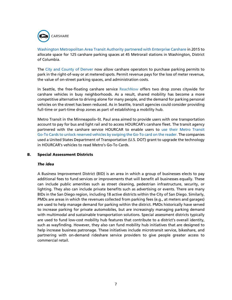

Washington Metropolitan Area Transit Authority partnered with Enterprise Carshare in 2015 to allocate space for 125 carshare parking spaces at 45 Metrorail stations in Washington, District of Columbia.

The City and County of Denver now allow carshare operators to purchase parking permits to park in the right-of-way or at metered spots. Permit revenue pays for the loss of meter revenue, the value of on-street parking spaces, and administration costs.

In Seattle, the free-floating carshare service ReachNow offers two drop zones citywide for carshare vehicles in busy neighborhoods. As a result, shared mobility has become a more competitive alternative to driving alone for many people, and the demand for parking personal vehicles on the street has been reduced. As in Seattle, transit agencies could consider providing full-time or part-time drop zones as part of establishing a mobility hub.

Metro Transit in the Minneapolis–St. Paul area aimed to provide users with one transportation account to pay for bus and light rail and to access HOURCAR's carshare fleet. The transit agency partnered with the carshare service HOURCAR to enable users to use their Metro Transit Go-To Cards to unlock reserved vehicles by swiping the Go-To card on the reader. The companies used a United States Department of Transportation (U.S. DOT) grant to upgrade the technology in HOURCAR's vehicles to read Metro's Go-To Cards.

## **B. Special Assessment Districts**

#### *The idea*

A Business Improvement District (BID) is an area in which a group of businesses elects to pay additional fees to fund services or improvements that will benefit all businesses equally. These can include public amenities such as street cleaning, pedestrian infrastructure, security, or lighting. They also can include private benefits such as advertising or events. There are many BIDs in the San Diego region, including 18 active districts within the City of San Diego. Similarly, PMDs are areas in which the revenues collected from parking fees (e.g., at meters and garages) are used to help manage demand for parking within the district. PMDs historically have served to increase parking for private automobiles, but are increasingly managing parking demand with multimodal and sustainable transportation solutions. Special assessment districts typically are used to fund low-cost mobility hub features that contribute to a district's overall identity, such as wayfinding. However, they also can fund mobility hub initiatives that are designed to help increase business patronage. These initiatives include microtransit service, bikeshare, and partnering with on-demand rideshare service providers to give people greater access to commercial retail.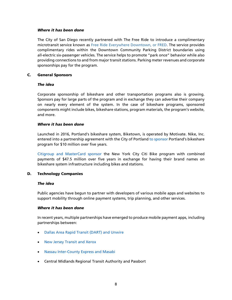#### *Where it has been done*

The City of San Diego recently partnered with The Free Ride to introduce a complimentary microtransit service known as Free Ride Everywhere Downtown, or FRED. The service provides complimentary rides within the Downtown Community Parking District boundaries using all-electric six-passenger vehicles. The service helps to promote "park once" behavior while also providing connections to and from major transit stations. Parking meter revenues and corporate sponsorships pay for the program.

#### **C. General Sponsors**

#### *The idea*

Corporate sponsorship of bikeshare and other transportation programs also is growing. Sponsors pay for large parts of the program and in exchange they can advertise their company on nearly every element of the system. In the case of bikeshare programs, sponsored components might include bikes, bikeshare stations, program materials, the program's website, and more.

#### *Where it has been done*

Launched in 2016, Portland's bikeshare system, Biketown, is operated by Motivate. Nike, Inc. entered into a partnership agreement with the City of Portland to sponsor Portland's bikeshare program for \$10 million over five years.

Citigroup and MasterCard sponsor the New York City Citi Bike program with combined payments of \$47.5 million over five years in exchange for having their brand names on bikeshare system infrastructure including bikes and stations.

## **D. Technology Companies**

#### *The idea*

Public agencies have begun to partner with developers of various mobile apps and websites to support mobility through online payment systems, trip planning, and other services.

#### *Where it has been done*

In recent years, multiple partnerships have emerged to produce mobile payment apps, including partnerships between:

- Dallas Area Rapid Transit (DART) and Unwire
- New Jersey Transit and Xerox
- Nassau Inter-County Express and Masabi
- Central Midlands Regional Transit Authority and Passbort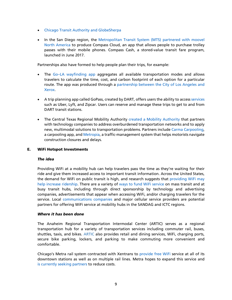- Chicago Transit Authority and GlobeSherpa
- In the San Diego region, the Metropolitan Transit System (MTS) partnered with moovel North America to produce Compass Cloud, an app that allows people to purchase trolley passes with their mobile phones. Compass Cash, a stored-value transit fare program, launched in June 2017.

Partnerships also have formed to help people plan their trips, for example:

- The Go–LA wayfinding app aggregates all available transportation modes and allows travelers to calculate the time, cost, and carbon footprint of each option for a particular route. The app was produced through a partnership between the City of Los Angeles and Xerox.
- A trip planning app called GoPass, created by DART, offers users the ability to access services such as Uber, Lyft, and Zipcar. Users can reserve and manage these trips to get to and from DART transit stations.
- The Central Texas Regional Mobility Authority created a Mobility Authority that partners with technology companies to address overburdened transportation networks and to apply new, multimodal solutions to transportation problems. Partners include Carma Carpooling, a carpooling app, and Metropia, a traffic-management system that helps motorists navigate construction closures and delays.

## **E. WiFi Hotspot Investments**

## *The idea*

Providing WiFi at a mobility hub can help travelers pass the time as they're waiting for their ride and give them increased access to important transit information. Across the United States, the demand for WiFi on public transit is high, and research suggests that providing WiFi may help increase ridership. There are a variety of ways to fund WiFi service on mass transit and at busy transit hubs, including through direct sponsorship by technology and advertising companies, advertisements that appear when accessing WiFi, and/or charging travelers for the service. Local communications companies and major cellular service providers are potential partners for offering WiFi service at mobility hubs in the SANDAG and ICTC regions.

## *Where it has been done*

The Anaheim Regional Transportation Intermodal Center (ARTIC) serves as a regional transportation hub for a variety of transportation services including commuter rail, buses, shuttles, taxis, and bikes. ARTIC also provides retail and dining services, WiFi, charging ports, secure bike parking, lockers, and parking to make commuting more convenient and comfortable.

Chicago's Metra rail system contracted with Xentrans to provide free WiFi service at all of its downtown stations as well as on multiple rail lines. Metra hopes to expand this service and is currently seeking partners to reduce costs.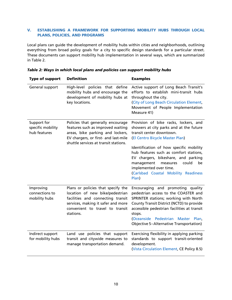# **V. ESTABLISHING A FRAMEWORK FOR SUPPORTING MOBILITY HUBS THROUGH LOCAL PLANS, POLICIES, AND PROGRAMS**

Local plans can guide the development of mobility hubs within cities and neighborhoods, outlining everything from broad policy goals for a city to specific design standards for a particular street. These documents can support mobility hub implementation in several ways, which are summarized in Table 2.

| Type of support                                  | <b>Definition</b>                                                                                                                                                                                | <b>Examples</b>                                                                                                                                                                                                                                                                                                                                                                                 |
|--------------------------------------------------|--------------------------------------------------------------------------------------------------------------------------------------------------------------------------------------------------|-------------------------------------------------------------------------------------------------------------------------------------------------------------------------------------------------------------------------------------------------------------------------------------------------------------------------------------------------------------------------------------------------|
| General support                                  | High-level policies that define<br>mobility hubs and encourage the<br>development of mobility hubs at<br>key locations.                                                                          | Active support of Long Beach Transit's<br>efforts to establish mini-transit hubs<br>throughout the city.<br>(City of Long Beach Circulation Element,<br>Movement of People Implementation<br>Measure 41)                                                                                                                                                                                        |
| Support for<br>specific mobility<br>hub features | Policies that generally encourage<br>features such as improved waiting<br>areas, bike parking and lockers,<br>EV chargers, or first- and last-mile<br>shuttle services at transit stations.      | Provision of bike racks, lockers, and<br>showers at city parks and at the future<br>transit center downtown.<br>(El Centro Bicycle Master Plan)<br>Identification of how specific mobility<br>hub features such as comfort stations,<br>EV chargers, bikeshare, and parking<br>management<br>could<br>measures<br>be<br>implemented over time.<br>(Carlsbad Coastal Mobility Readiness<br>Plan) |
| Improving<br>connections to<br>mobility hubs     | Plans or policies that specify the<br>location of new bike/pedestrian<br>facilities and connecting transit<br>services, making it safer and more<br>convenient to travel to transit<br>stations. | Encouraging and promoting quality<br>pedestrian access to the COASTER and<br>SPRINTER stations; working with North<br>County Transit District (NCTD) to provide<br>accessible pedestrian facilities at transit<br>stops.<br>(Oceanside Pedestrian Master Plan,<br>Objective 5-Alternative Transportation)                                                                                       |
| Indirect support<br>for mobility hubs            | Land use policies that support<br>transit and citywide measures to<br>manage transportation demand.                                                                                              | Exercising flexibility in applying parking<br>standards to support transit-oriented<br>development.<br>(Vista Circulation Element, CE Policy 8.5)                                                                                                                                                                                                                                               |

|  |  |  | Table 2: Ways in which local plans and policies can support mobility hubs |
|--|--|--|---------------------------------------------------------------------------|
|--|--|--|---------------------------------------------------------------------------|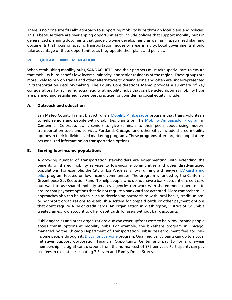There is no "one size fits all" approach to supporting mobility hubs through local plans and policies. This is because there are overlapping opportunities to include policies that support mobility hubs in generalized planning documents that guide citywide development, as well as in specialized planning documents that focus on specific transportation modes or areas in a city. Local governments should take advantage of these opportunities as they update their plans and policies.

# **VI. EQUITABLE IMPLEMENTATION**

When establishing mobility hubs, SANDAG, ICTC, and their partners must take special care to ensure that mobility hubs benefit low-income, minority, and senior residents of the region. These groups are more likely to rely on transit and other alternatives to driving alone and often are underrepresented in transportation decision-making. The Equity Considerations Memo provides a summary of key considerations for achieving social equity at mobility hubs that can be acted upon as mobility hubs are planned and established. Some best practices for considering social equity include:

# **A. Outreach and education**

San Mateo County Transit District runs a Mobility Ambassador program that trains volunteers to help seniors and people with disabilities plan trips. The Mobility Ambassador Program in Centennial, Colorado, trains seniors to give seminars to their peers about using modern transportation tools and services. Portland, Chicago, and other cities include shared mobility options in their individualized marketing programs. These programs offer targeted populations personalized information on transportation options.

## **B. Serving low-income populations**

A growing number of transportation stakeholders are experimenting with extending the benefits of shared mobility services to low-income communities and other disadvantaged populations. For example, the City of Los Angeles is now running a three-year EV carsharing pilot program focused on low-income communities. The program is funded by the California Greenhouse Gas Reduction Fund. To help people who do not have a bank account or credit card but want to use shared mobility services, agencies can work with shared-mode operators to ensure that payment options that do not require a bank card are accepted. More comprehensive approaches also can be taken, such as developing partnerships with local banks, credit unions, or nonprofit organizations to establish a system for prepaid cards or other payment options that don't require ATM or credit cards. An organization in Washington, District of Columbia created an escrow account to offer debit cards for users without bank accounts.

Public agencies and other organizations also can cover upfront costs to help low-income people access transit options at mobility hubs. For example, the bikeshare program in Chicago, managed by the Chicago Department of Transportation, subsidizes enrollment fees for lowincome people through its Divvy for Everyone program. Qualified participants can go to a Local Initiatives Support Corporation Financial Opportunity Center and pay \$5 for a one-year membership – a significant discount from the normal cost of \$75 per year. Participants can pay use fees in cash at participating 7-Eleven and Family Dollar Stores.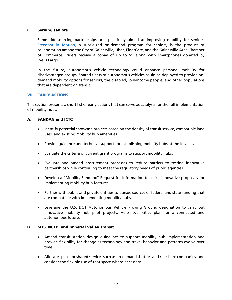# **C. Serving seniors**

Some ride-sourcing partnerships are specifically aimed at improving mobility for seniors. Freedom in Motion, a subsidized on-demand program for seniors, is the product of collaboration among the City of Gainesville, Uber, ElderCare, and the Gainesville Area Chamber of Commerce. Riders receive a copay of up to \$5 along with smartphones donated by Wells Fargo.

In the future, autonomous vehicle technology could enhance personal mobility for disadvantaged groups. Shared fleets of autonomous vehicles could be deployed to provide ondemand mobility options for seniors, the disabled, low-income people, and other populations that are dependent on transit.

# **VII. EARLY ACTIONS**

This section presents a short list of early actions that can serve as catalysts for the full implementation of mobility hubs.

# **A. SANDAG and ICTC**

- Identify potential showcase projects based on the density of transit service, compatible land uses, and existing mobility hub amenities.
- Provide guidance and technical support for establishing mobility hubs at the local level.
- Evaluate the criteria of current grant programs to support mobility hubs.
- Evaluate and amend procurement processes to reduce barriers to testing innovative partnerships while continuing to meet the regulatory needs of public agencies.
- Develop a "Mobility Sandbox" Request for Information to solicit innovative proposals for implementing mobility hub features.
- Partner with public and private entities to pursue sources of federal and state funding that are compatible with implementing mobility hubs.
- Leverage the U.S. DOT Autonomous Vehicle Proving Ground designation to carry out innovative mobility hub pilot projects. Help local cities plan for a connected and autonomous future.

## **B. MTS, NCTD, and Imperial Valley Transit**

- Amend transit station design guidelines to support mobility hub implementation and provide flexibility for change as technology and travel behavior and patterns evolve over time.
- Allocate space for shared services such as on-demand shuttles and rideshare companies, and consider the flexible use of that space where necessary.